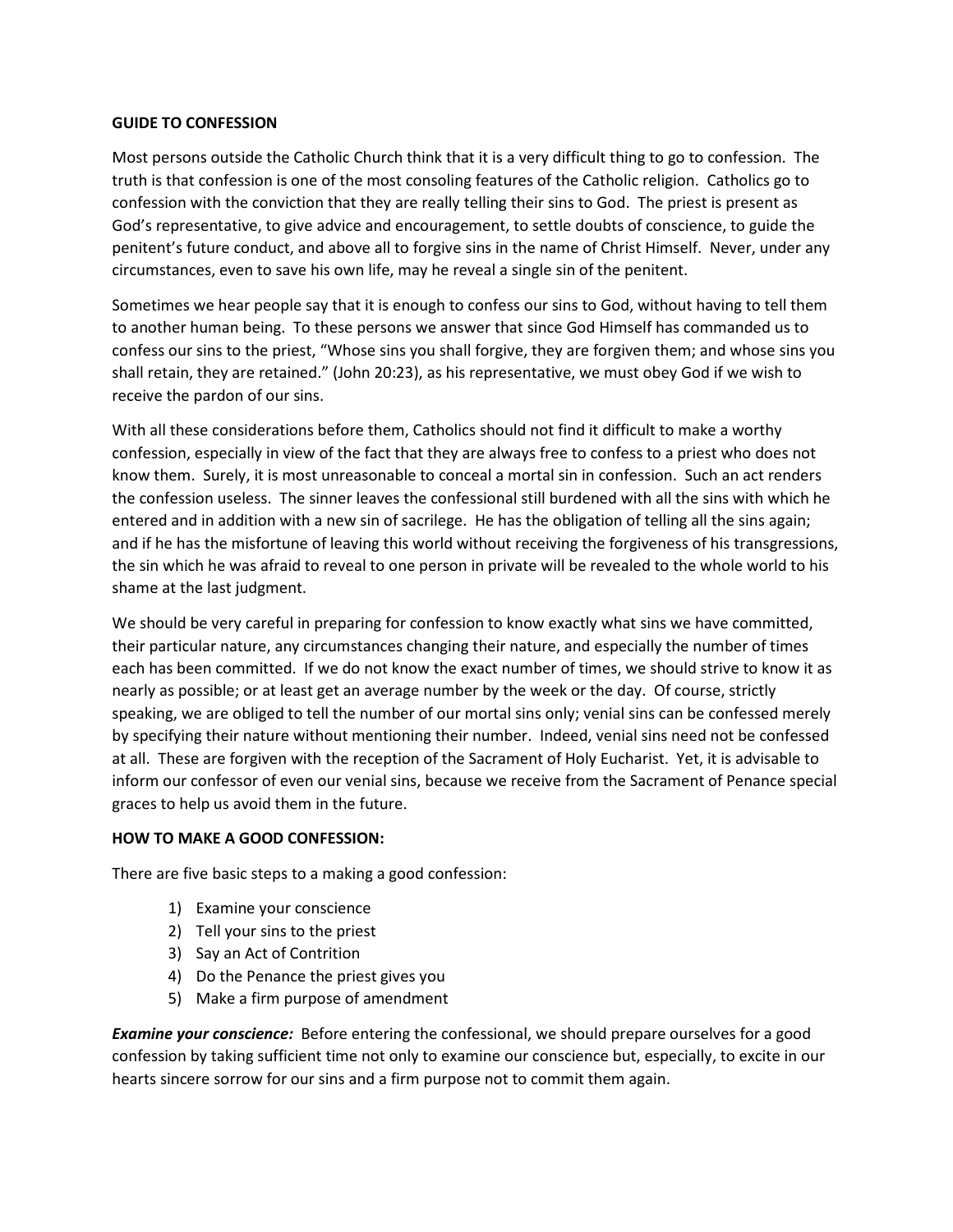## **GUIDE TO CONFESSION**

Most persons outside the Catholic Church think that it is a very difficult thing to go to confession. The truth is that confession is one of the most consoling features of the Catholic religion. Catholics go to confession with the conviction that they are really telling their sins to God. The priest is present as God's representative, to give advice and encouragement, to settle doubts of conscience, to guide the penitent's future conduct, and above all to forgive sins in the name of Christ Himself. Never, under any circumstances, even to save his own life, may he reveal a single sin of the penitent.

Sometimes we hear people say that it is enough to confess our sins to God, without having to tell them to another human being. To these persons we answer that since God Himself has commanded us to confess our sins to the priest, "Whose sins you shall forgive, they are forgiven them; and whose sins you shall retain, they are retained." (John 20:23), as his representative, we must obey God if we wish to receive the pardon of our sins.

With all these considerations before them, Catholics should not find it difficult to make a worthy confession, especially in view of the fact that they are always free to confess to a priest who does not know them. Surely, it is most unreasonable to conceal a mortal sin in confession. Such an act renders the confession useless. The sinner leaves the confessional still burdened with all the sins with which he entered and in addition with a new sin of sacrilege. He has the obligation of telling all the sins again; and if he has the misfortune of leaving this world without receiving the forgiveness of his transgressions, the sin which he was afraid to reveal to one person in private will be revealed to the whole world to his shame at the last judgment.

We should be very careful in preparing for confession to know exactly what sins we have committed, their particular nature, any circumstances changing their nature, and especially the number of times each has been committed. If we do not know the exact number of times, we should strive to know it as nearly as possible; or at least get an average number by the week or the day. Of course, strictly speaking, we are obliged to tell the number of our mortal sins only; venial sins can be confessed merely by specifying their nature without mentioning their number. Indeed, venial sins need not be confessed at all. These are forgiven with the reception of the Sacrament of Holy Eucharist. Yet, it is advisable to inform our confessor of even our venial sins, because we receive from the Sacrament of Penance special graces to help us avoid them in the future.

## **HOW TO MAKE A GOOD CONFESSION:**

There are five basic steps to a making a good confession:

- 1) Examine your conscience
- 2) Tell your sins to the priest
- 3) Say an Act of Contrition
- 4) Do the Penance the priest gives you
- 5) Make a firm purpose of amendment

*Examine your conscience:* Before entering the confessional, we should prepare ourselves for a good confession by taking sufficient time not only to examine our conscience but, especially, to excite in our hearts sincere sorrow for our sins and a firm purpose not to commit them again.